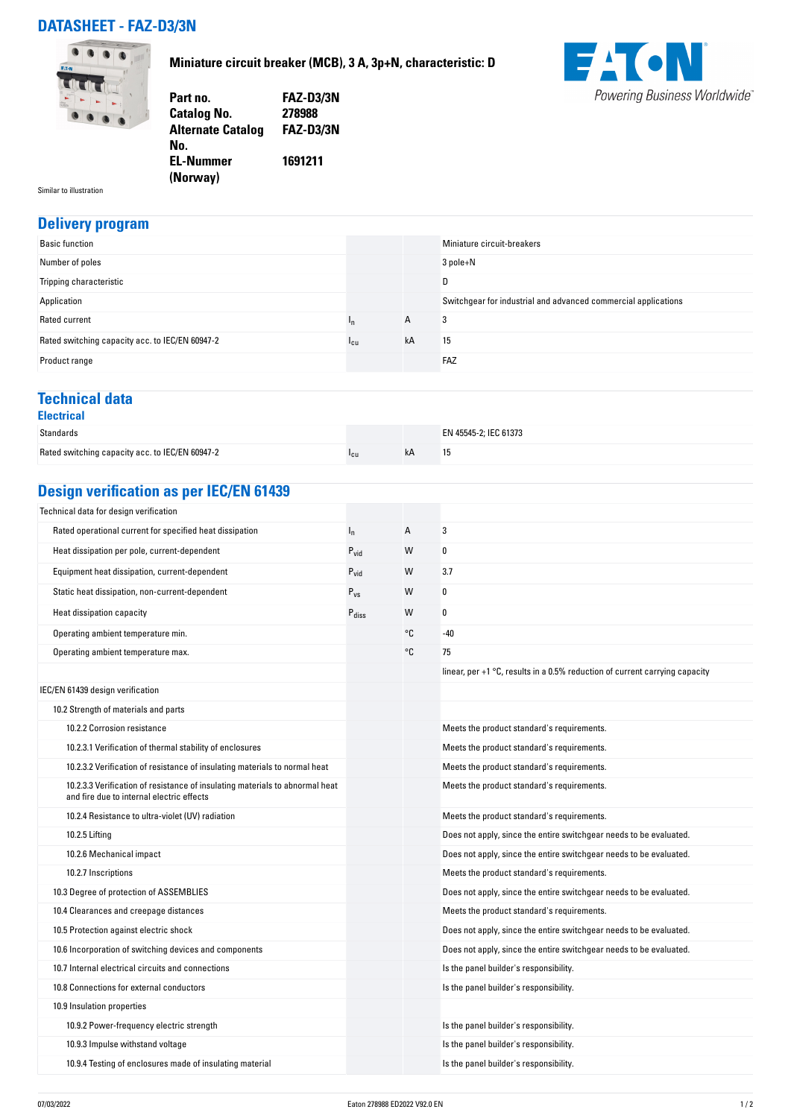## **DATASHEET - FAZ-D3/3N**



**Miniature circuit breaker (MCB), 3 A, 3p+N, characteristic: D**



| Part no.                 | <b>FAZ-D3/3N</b> |
|--------------------------|------------------|
| <b>Catalog No.</b>       | 278988           |
| <b>Alternate Catalog</b> | <b>FAZ-D3/3N</b> |
| No.                      |                  |
| <b>EL-Nummer</b>         | 1691211          |
| (Norway)                 |                  |

Similar to illustration

## **Delivery program**

| <b>Basic function</b>                           |                 |    | Miniature circuit-breakers                                     |
|-------------------------------------------------|-----------------|----|----------------------------------------------------------------|
| Number of poles                                 |                 |    | 3 pole+N                                                       |
| Tripping characteristic                         |                 |    | D                                                              |
| Application                                     |                 |    | Switchgear for industrial and advanced commercial applications |
| Rated current                                   |                 | A  | 3                                                              |
| Rated switching capacity acc. to IEC/EN 60947-2 | <sup>1</sup> cu | kA | 15                                                             |
| Product range                                   |                 |    | FAZ                                                            |

### **Technical data**

| <b>Electrical</b>                               |                 |    |                       |
|-------------------------------------------------|-----------------|----|-----------------------|
| Standards                                       |                 |    | EN 45545-2; IEC 61373 |
| Rated switching capacity acc. to IEC/EN 60947-2 | <sup>1</sup> cu | kA | 15                    |

## **Design verification as per IEC/EN 61439**

| Technical data for design verification                                                                                    |                   |    |                                                                               |
|---------------------------------------------------------------------------------------------------------------------------|-------------------|----|-------------------------------------------------------------------------------|
| Rated operational current for specified heat dissipation                                                                  | $I_{n}$           | А  | 3                                                                             |
| Heat dissipation per pole, current-dependent                                                                              | $P_{vid}$         | W  | 0                                                                             |
| Equipment heat dissipation, current-dependent                                                                             | $P_{\text{vid}}$  | W  | 3.7                                                                           |
| Static heat dissipation, non-current-dependent                                                                            | $P_{VS}$          | W  | 0                                                                             |
| Heat dissipation capacity                                                                                                 | $P_{\text{diss}}$ | W  | 0                                                                             |
| Operating ambient temperature min.                                                                                        |                   | ۰c | $-40$                                                                         |
| Operating ambient temperature max.                                                                                        |                   | °C | 75                                                                            |
|                                                                                                                           |                   |    | linear, per $+1$ °C, results in a 0.5% reduction of current carrying capacity |
| IEC/EN 61439 design verification                                                                                          |                   |    |                                                                               |
| 10.2 Strength of materials and parts                                                                                      |                   |    |                                                                               |
| 10.2.2 Corrosion resistance                                                                                               |                   |    | Meets the product standard's requirements.                                    |
| 10.2.3.1 Verification of thermal stability of enclosures                                                                  |                   |    | Meets the product standard's requirements.                                    |
| 10.2.3.2 Verification of resistance of insulating materials to normal heat                                                |                   |    | Meets the product standard's requirements.                                    |
| 10.2.3.3 Verification of resistance of insulating materials to abnormal heat<br>and fire due to internal electric effects |                   |    | Meets the product standard's requirements.                                    |
| 10.2.4 Resistance to ultra-violet (UV) radiation                                                                          |                   |    | Meets the product standard's requirements.                                    |
| 10.2.5 Lifting                                                                                                            |                   |    | Does not apply, since the entire switchgear needs to be evaluated.            |
| 10.2.6 Mechanical impact                                                                                                  |                   |    | Does not apply, since the entire switchgear needs to be evaluated.            |
| 10.2.7 Inscriptions                                                                                                       |                   |    | Meets the product standard's requirements.                                    |
| 10.3 Degree of protection of ASSEMBLIES                                                                                   |                   |    | Does not apply, since the entire switchgear needs to be evaluated.            |
| 10.4 Clearances and creepage distances                                                                                    |                   |    | Meets the product standard's requirements.                                    |
| 10.5 Protection against electric shock                                                                                    |                   |    | Does not apply, since the entire switchgear needs to be evaluated.            |
| 10.6 Incorporation of switching devices and components                                                                    |                   |    | Does not apply, since the entire switchgear needs to be evaluated.            |
| 10.7 Internal electrical circuits and connections                                                                         |                   |    | Is the panel builder's responsibility.                                        |
| 10.8 Connections for external conductors                                                                                  |                   |    | Is the panel builder's responsibility.                                        |
| 10.9 Insulation properties                                                                                                |                   |    |                                                                               |
| 10.9.2 Power-frequency electric strength                                                                                  |                   |    | Is the panel builder's responsibility.                                        |
| 10.9.3 Impulse withstand voltage                                                                                          |                   |    | Is the panel builder's responsibility.                                        |
| 10.9.4 Testing of enclosures made of insulating material                                                                  |                   |    | Is the panel builder's responsibility.                                        |